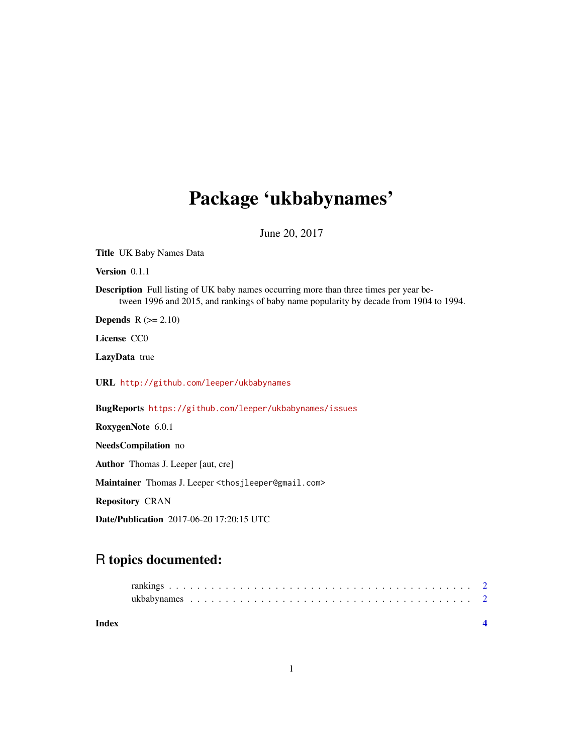## Package 'ukbabynames'

June 20, 2017

Title UK Baby Names Data

Version 0.1.1

Description Full listing of UK baby names occurring more than three times per year between 1996 and 2015, and rankings of baby name popularity by decade from 1904 to 1994.

**Depends**  $R$  ( $>= 2.10$ )

License CC0

LazyData true

URL <http://github.com/leeper/ukbabynames>

BugReports <https://github.com/leeper/ukbabynames/issues>

RoxygenNote 6.0.1

NeedsCompilation no

Author Thomas J. Leeper [aut, cre]

Maintainer Thomas J. Leeper <thosjleeper@gmail.com>

Repository CRAN

Date/Publication 2017-06-20 17:20:15 UTC

### R topics documented:

**Index** [4](#page-3-0)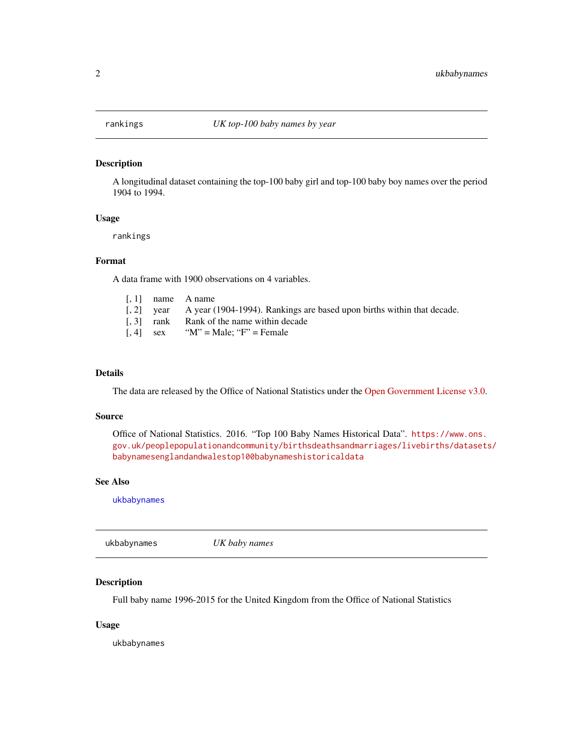#### <span id="page-1-2"></span><span id="page-1-0"></span>Description

A longitudinal dataset containing the top-100 baby girl and top-100 baby boy names over the period 1904 to 1994.

#### Usage

rankings

#### Format

A data frame with 1900 observations on 4 variables.

| $\left[$ , 2 $\right]$ year A year (1904-1994). Rankings are based upon births within that decade. |
|----------------------------------------------------------------------------------------------------|
|                                                                                                    |
|                                                                                                    |
|                                                                                                    |

#### Details

The data are released by the Office of National Statistics under the [Open Government License v3.0.](http://www.nationalarchives.gov.uk/doc/open-government-licence/version/3/)

#### Source

Office of National Statistics. 2016. "Top 100 Baby Names Historical Data". [https://www.ons.](https://www.ons.gov.uk/peoplepopulationandcommunity/birthsdeathsandmarriages/livebirths/datasets/babynamesenglandandwalestop100babynameshistoricaldata) [gov.uk/peoplepopulationandcommunity/birthsdeathsandmarriages/livebirths/datasets](https://www.ons.gov.uk/peoplepopulationandcommunity/birthsdeathsandmarriages/livebirths/datasets/babynamesenglandandwalestop100babynameshistoricaldata)/ [babynamesenglandandwalestop100babynameshistoricaldata](https://www.ons.gov.uk/peoplepopulationandcommunity/birthsdeathsandmarriages/livebirths/datasets/babynamesenglandandwalestop100babynameshistoricaldata)

#### See Also

[ukbabynames](#page-1-1)

<span id="page-1-1"></span>ukbabynames *UK baby names*

#### Description

Full baby name 1996-2015 for the United Kingdom from the Office of National Statistics

#### Usage

ukbabynames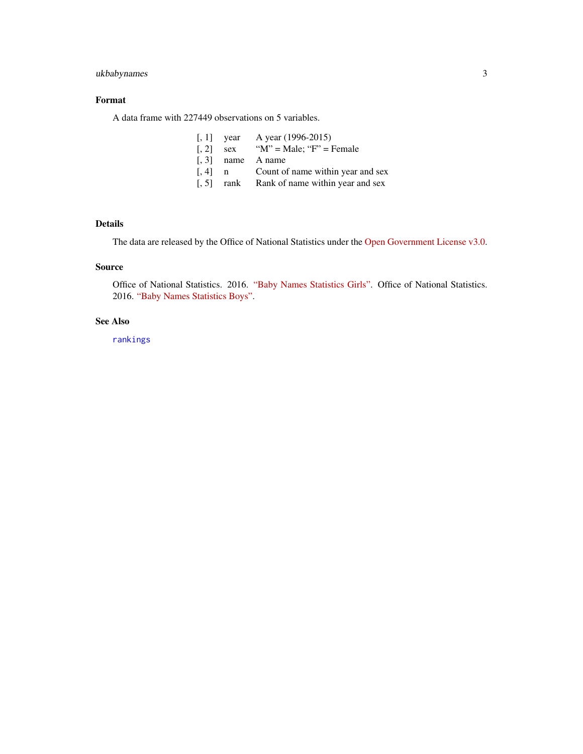#### <span id="page-2-0"></span>ukbabynames 3

#### Format

A data frame with 227449 observations on 5 variables.

|                     | $\lceil$ , 1 vear | A year (1996-2015)                    |
|---------------------|-------------------|---------------------------------------|
| $\lceil . 2 \rceil$ |                   | sex " $M$ " = Male; " $F$ " = Female  |
|                     |                   | $\lceil 0.3 \rceil$ name A name       |
| $\left[ 0.4\right]$ |                   | n Count of name within year and sex   |
| $\left[ .5\right]$  |                   | rank Rank of name within year and sex |

#### Details

The data are released by the Office of National Statistics under the [Open Government License v3.0.](http://www.nationalarchives.gov.uk/doc/open-government-licence/version/3/)

#### Source

Office of National Statistics. 2016. ["Baby Names Statistics Girls".](https://www.ons.gov.uk/peoplepopulationandcommunity/birthsdeathsandmarriages/livebirths/datasets/babynamesenglandandwalesbabynamesstatisticsgirls) Office of National Statistics. 2016. ["Baby Names Statistics Boys".](https://www.ons.gov.uk/peoplepopulationandcommunity/birthsdeathsandmarriages/livebirths/datasets/babynamesenglandandwalesbabynamesstatisticsboys)

#### See Also

[rankings](#page-1-2)